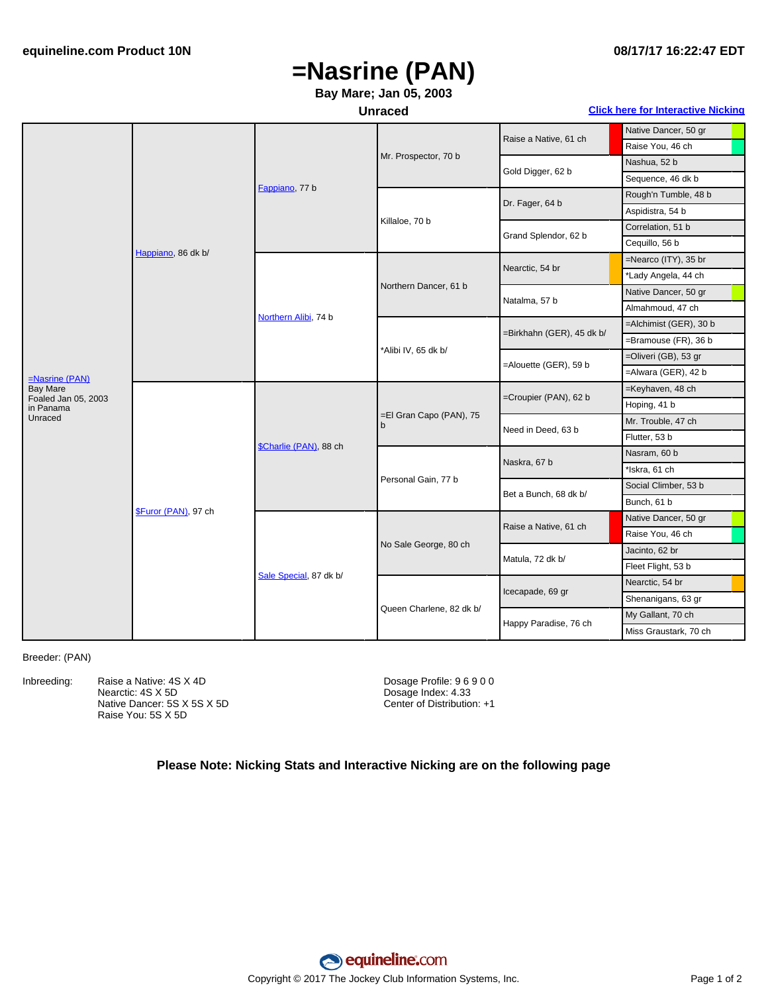### **08/17/17 16:22:47 EDT**

# **=Nasrine (PAN)**

### **Bay Mare; Jan 05, 2003**

#### **Unraced Click here for [Interactive](#page-1-0) Nicking**

|                                  | Happiano, 86 dk b/           | Fappiano, 77 b         | Mr. Prospector, 70 b         | Raise a Native, 61 ch     | Native Dancer, 50 gr   |
|----------------------------------|------------------------------|------------------------|------------------------------|---------------------------|------------------------|
|                                  |                              |                        |                              |                           | Raise You, 46 ch       |
|                                  |                              |                        |                              | Gold Digger, 62 b         | Nashua, 52 b           |
|                                  |                              |                        |                              |                           | Sequence, 46 dk b      |
|                                  |                              |                        | Killaloe, 70 b               | Dr. Fager, 64 b           | Rough'n Tumble, 48 b   |
|                                  |                              |                        |                              |                           | Aspidistra, 54 b       |
|                                  |                              |                        |                              | Grand Splendor, 62 b      | Correlation, 51 b      |
|                                  |                              |                        |                              |                           | Cequillo, 56 b         |
|                                  |                              | Northern Alibi, 74 b   | Northern Dancer, 61 b        | Nearctic, 54 br           | =Nearco (ITY), 35 br   |
|                                  |                              |                        |                              |                           | *Lady Angela, 44 ch    |
|                                  |                              |                        |                              | Natalma, 57 b             | Native Dancer, 50 gr   |
|                                  |                              |                        |                              |                           | Almahmoud, 47 ch       |
|                                  |                              |                        | *Alibi IV, 65 dk b/          | =Birkhahn (GER), 45 dk b/ | =Alchimist (GER), 30 b |
| $=Nasrine$ (PAN)                 |                              |                        |                              |                           | =Bramouse (FR), 36 b   |
|                                  |                              |                        |                              | =Alouette (GER), 59 b     | =Oliveri (GB), 53 gr   |
|                                  |                              |                        |                              |                           | =Alwara (GER), 42 b    |
| <b>Bay Mare</b>                  | <b>\$Furor (PAN)</b> , 97 ch |                        | =El Gran Capo (PAN), 75<br>b | =Croupier (PAN), 62 b     | =Keyhaven, 48 ch       |
| Foaled Jan 05, 2003<br>in Panama |                              | \$Charlie (PAN), 88 ch |                              |                           | Hoping, 41 b           |
| Unraced                          |                              |                        |                              | Need in Deed, 63 b        | Mr. Trouble, 47 ch     |
|                                  |                              |                        |                              |                           | Flutter, 53 b          |
|                                  |                              |                        | Personal Gain, 77 b          | Naskra, 67 b              | Nasram, 60 b           |
|                                  |                              |                        |                              |                           | *Iskra, 61 ch          |
|                                  |                              |                        |                              | Bet a Bunch, 68 dk b/     | Social Climber, 53 b   |
|                                  |                              |                        |                              |                           | Bunch, 61 b            |
|                                  |                              | Sale Special, 87 dk b/ | No Sale George, 80 ch        | Raise a Native, 61 ch     | Native Dancer, 50 gr   |
|                                  |                              |                        |                              |                           | Raise You, 46 ch       |
|                                  |                              |                        |                              | Matula, 72 dk b/          | Jacinto, 62 br         |
|                                  |                              |                        |                              |                           | Fleet Flight, 53 b     |
|                                  |                              |                        | Queen Charlene, 82 dk b/     | Icecapade, 69 gr          | Nearctic, 54 br        |
|                                  |                              |                        |                              |                           | Shenanigans, 63 gr     |
|                                  |                              |                        |                              | Happy Paradise, 76 ch     | My Gallant, 70 ch      |
|                                  |                              |                        |                              |                           | Miss Graustark, 70 ch  |

#### Breeder: (PAN)

Inbreeding: Raise a Native: 4S X 4D Nearctic: 4S X 5D

Native Dancer: 5S X 5S X 5D Raise You: 5S X 5D

Dosage Profile: 9 6 9 0 0 Dosage Index: 4.33 Center of Distribution: +1

#### **Please Note: Nicking Stats and Interactive Nicking are on the following page**